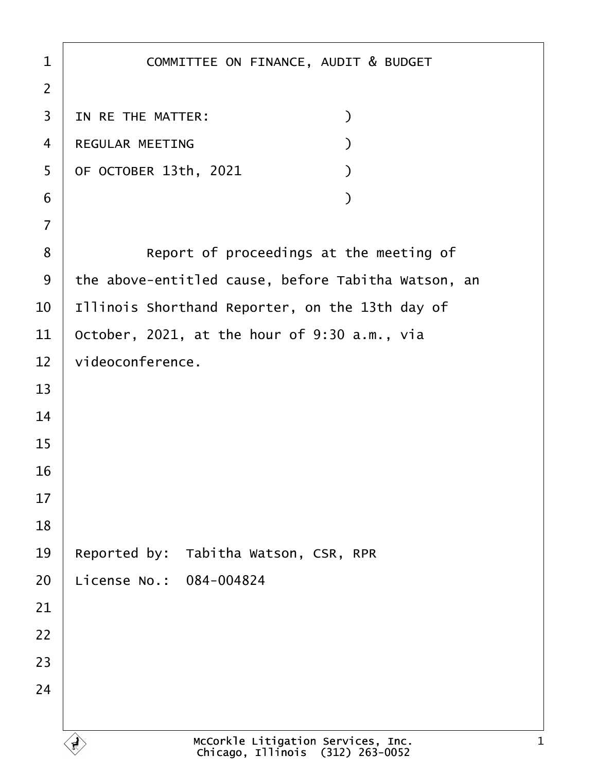| $\mathbf 1$    | COMMITTEE ON FINANCE, AUDIT & BUDGET                                   |
|----------------|------------------------------------------------------------------------|
| $\overline{2}$ |                                                                        |
| 3              | $\mathcal{L}$<br>IN RE THE MATTER:                                     |
| 4              | REGULAR MEETING<br>$\mathcal{L}$                                       |
| 5              | OF OCTOBER 13th, 2021<br>$\mathcal{L}$                                 |
| 6              | $\mathcal{L}$                                                          |
| $\overline{7}$ |                                                                        |
| 8              | Report of proceedings at the meeting of                                |
| 9              | the above-entitled cause, before Tabitha Watson, an                    |
| 10             | Illinois Shorthand Reporter, on the 13th day of                        |
| 11             | October, 2021, at the hour of 9:30 a.m., via                           |
| 12             | videoconference.                                                       |
| 13             |                                                                        |
| 14             |                                                                        |
| 15             |                                                                        |
| 16             |                                                                        |
| 17             |                                                                        |
| 18             |                                                                        |
| 19             | Tabitha Watson, CSR, RPR<br>Reported by:                               |
| 20             | License No.: 084-004824                                                |
| 21             |                                                                        |
| 22             |                                                                        |
| 23             |                                                                        |
| 24             |                                                                        |
|                |                                                                        |
|                | McCorkle Litigation Services, Inc.<br>Chicago, Illinois (312) 263-0052 |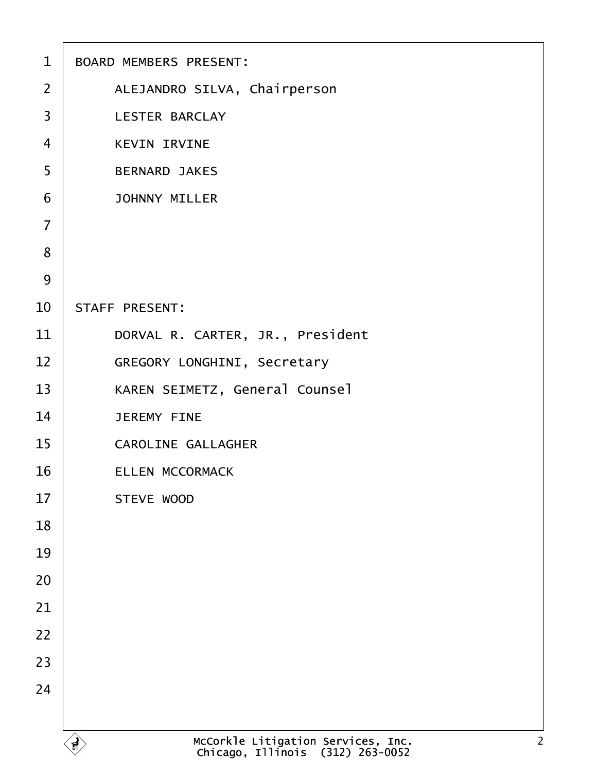| $\mathbf{1}$   | BOARD MEMBERS PRESENT:                                                                   |
|----------------|------------------------------------------------------------------------------------------|
| $\overline{2}$ | ALEJANDRO SILVA, Chairperson                                                             |
| 3              | <b>LESTER BARCLAY</b>                                                                    |
| $\overline{4}$ | <b>KEVIN IRVINE</b>                                                                      |
| 5              | <b>BERNARD JAKES</b>                                                                     |
| 6              | <b>JOHNNY MILLER</b>                                                                     |
| $\overline{7}$ |                                                                                          |
| 8              |                                                                                          |
| 9              |                                                                                          |
| 10             | STAFF PRESENT:                                                                           |
| 11             | DORVAL R. CARTER, JR., President                                                         |
| 12             | GREGORY LONGHINI, Secretary                                                              |
| 13             | KAREN SEIMETZ, General Counsel                                                           |
| 14             | <b>JEREMY FINE</b>                                                                       |
| 15             | CAROLINE GALLAGHER                                                                       |
| 16             | ELLEN MCCORMACK                                                                          |
| 17             | STEVE WOOD                                                                               |
| 18             |                                                                                          |
| 19             |                                                                                          |
| 20             |                                                                                          |
| 21             |                                                                                          |
| 22             |                                                                                          |
| 23             |                                                                                          |
| 24             |                                                                                          |
|                |                                                                                          |
|                | McCorkle Litigation Services, Inc.<br>Chicago, Illinois (312) 263-0052<br>$\overline{2}$ |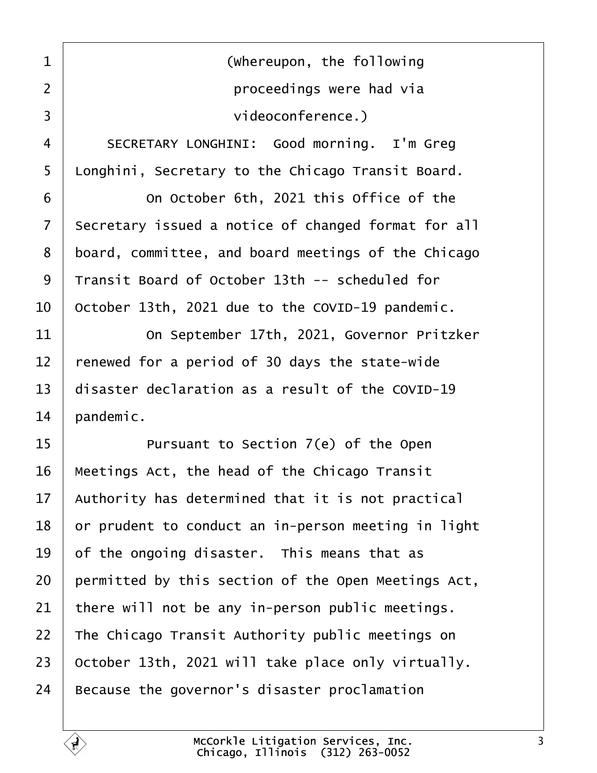<span id="page-2-0"></span>1 | **COLOREGIST (Whereupon, the following** ·2· · · · · · · · · · · ·proceedings were had via 3 | videoconference.)

4 | SECRETARY LONGHINI: Good morning. I'm Greg 5 | Longhini, Secretary to the Chicago Transit Board.

6 **0** 0n October 6th, 2021 this Office of the 7 Secretary issued a notice of changed format for all 8 board, committee, and board meetings of the Chicago  $9$  Transit Board of October 13th -- scheduled for  $10$  | October 13th, 2021 due to the COVID-19 pandemic.

**11** On September 17th, 2021, Governor Pritzker | renewed for a period of 30 days the state-wide  $\vert$  disaster declaration as a result of the COVID-19 | pandemic.

**I** Pursuant to Section 7(e) of the Open | Meetings Act, the head of the Chicago Transit | Authority has determined that it is not practical or prudent to conduct an in-person meeting in light  $\vert$  of the ongoing disaster. This means that as permitted by this section of the Open Meetings Act,  $\vert$  there will not be any in-person public meetings. 22 The Chicago Transit Authority public meetings on  $\vert$  October 13th, 2021 will take place only virtually. | Because the governor's disaster proclamation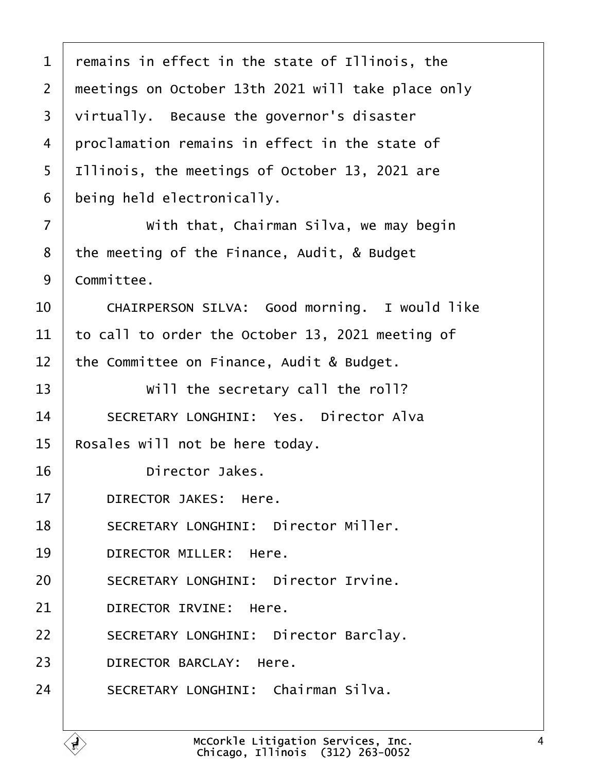<span id="page-3-0"></span> $1$  remains in effect in the state of Illinois, the 2 | meetings on October 13th 2021 will take place only  $3$   $\vert$  virtually. Because the governor's disaster  $4$   $\mid$  proclamation remains in effect in the state of 5 | Illinois, the meetings of October 13, 2021 are  $6$  being held electronically.  $7$   $\vert$  with that, Chairman Silva, we may begin  $8$  | the meeting of the Finance, Audit, & Budget 9 | Committee. 10 CHAIRPERSON SILVA: Good morning. I would like 11  $\vert$  to call to order the October 13, 2021 meeting of  $12$  the Committee on Finance, Audit & Budget.  $13$   $\vert$  will the secretary call the roll? 14 SECRETARY LONGHINI: Yes. Director Alva  $15$  | Rosales will not be here today. 16 **birector** Jakes. 17 DIRECTOR JAKES: Here. 18 | SECRETARY LONGHINI: Director Miller. 19 DIRECTOR MILLER: Here. 20 SECRETARY LONGHINI: Director Irvine. 21 DIRECTOR IRVINE: Here. 22 SECRETARY LONGHINI: Director Barclay. 23 DIRECTOR BARCLAY: Here. 24 | SECRETARY LONGHINI: Chairman Silva.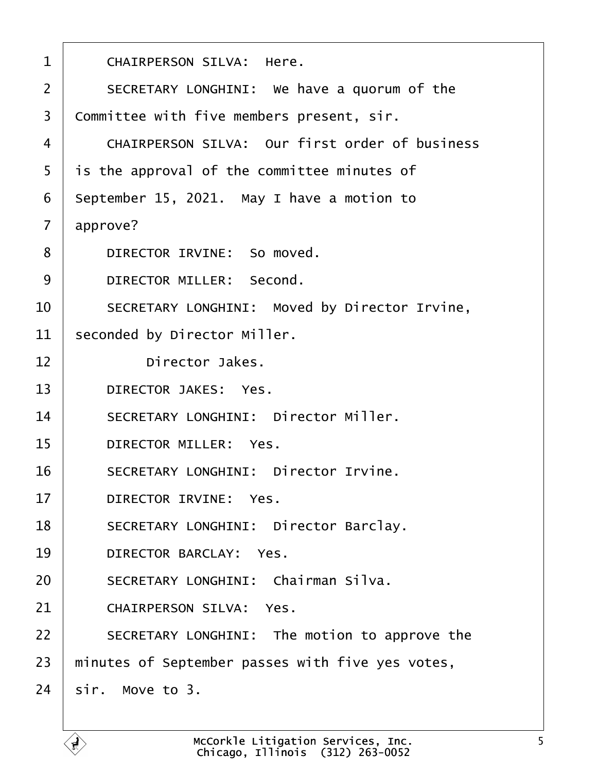<span id="page-4-0"></span>

| $\mathbf 1$    | CHAIRPERSON SILVA: Here.                         |
|----------------|--------------------------------------------------|
| $\overline{2}$ | SECRETARY LONGHINI: We have a quorum of the      |
| $\overline{3}$ | Committee with five members present, sir.        |
| 4              | CHAIRPERSON SILVA: Our first order of business   |
| 5              | is the approval of the committee minutes of      |
| 6              | September 15, 2021. May I have a motion to       |
| $\overline{7}$ | approve?                                         |
| 8              | DIRECTOR IRVINE: So moved.                       |
| 9              | DIRECTOR MILLER: Second.                         |
| 10             | SECRETARY LONGHINI: Moved by Director Irvine,    |
| 11             | seconded by Director Miller.                     |
| 12             | Director Jakes.                                  |
| 13             | DIRECTOR JAKES: Yes.                             |
| 14             | SECRETARY LONGHINI: Director Miller.             |
| 15             | DIRECTOR MILLER: Yes.                            |
| 16             | SECRETARY LONGHINI: Director Irvine.             |
| 17             | DIRECTOR IRVINE: Yes.                            |
| 18             | SECRETARY LONGHINI: Director Barclay.            |
| 19             | DIRECTOR BARCLAY: Yes.                           |
| 20             | SECRETARY LONGHINI: Chairman Silva.              |
| 21             | CHAIRPERSON SILVA: Yes.                          |
| 22             | SECRETARY LONGHINI: The motion to approve the    |
| 23             | minutes of September passes with five yes votes, |
| 24             | sir. Move to 3.                                  |
|                |                                                  |

ſ.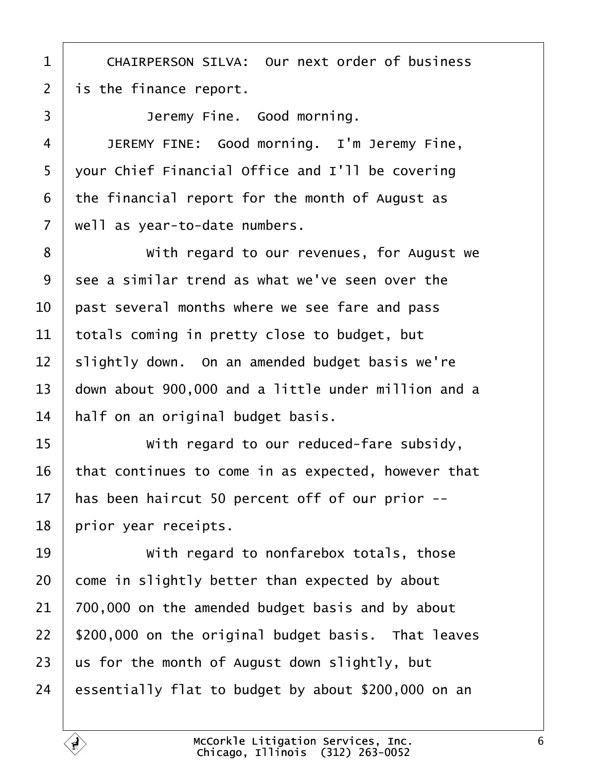<span id="page-5-0"></span>1 | CHAIRPERSON SILVA: Our next order of business | is the finance report.

**Jeremy Fine.** Good morning.

4 JEREMY FINE: Good morning. I'm Jeremy Fine, vour Chief Financial Office and I'll be covering the financial report for the month of August as | well as year-to-date numbers.

8 | With regard to our revenues, for August we see a similar trend as what we've seen over the  $\parallel$  past several months where we see fare and pass totals coming in pretty close to budget, but slightly down. On an amended budget basis we're  $|$  down about 900,000 and a little under million and a | half on an original budget basis.

**If any 11 begard to our reduced-fare subsidy,**  that continues to come in as expected, however that 17 | has been haircut 50 percent off of our prior  $-$ -| prior year receipts.

**With regard to nonfarebox totals, those**  come in slightly better than expected by about | 700,000 on the amended budget basis and by about | \$200,000 on the original budget basis. That leaves  $\vert$  us for the month of August down slightly, but 24 essentially flat to budget by about \$200,000 on an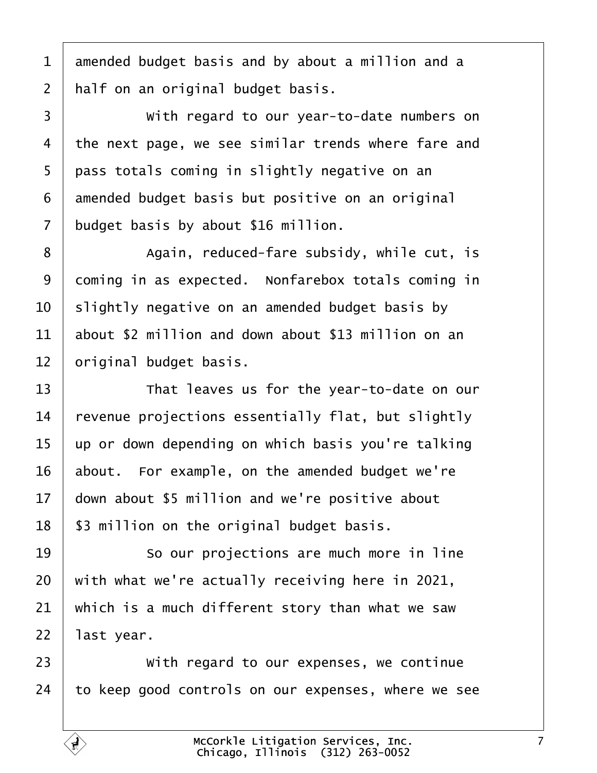<span id="page-6-0"></span> amended budget basis and by about a million and a 2 | half on an original budget basis.

3 With regard to our year-to-date numbers on  $\vert$  the next page, we see similar trends where fare and | pass totals coming in slightly negative on an amended budget basis but positive on an original budget basis by about \$16 million.

8 | Again, reduced-fare subsidy, while cut, is coming in as expected. Nonfarebox totals coming in  $\vert$  slightly negative on an amended budget basis by about \$2 million and down about \$13 million on an original budget basis.

13 That leaves us for the year-to-date on our revenue projections essentially flat, but slightly up or down depending on which basis you're talking about. For example, on the amended budget we're down about \$5 million and we're positive about | \$3 million on the original budget basis.

**So our projections are much more in line**  with what we're actually receiving here in 2021, which is a much different story than what we saw | last year.

**With regard to our expenses, we continue** to keep good controls on our expenses, where we see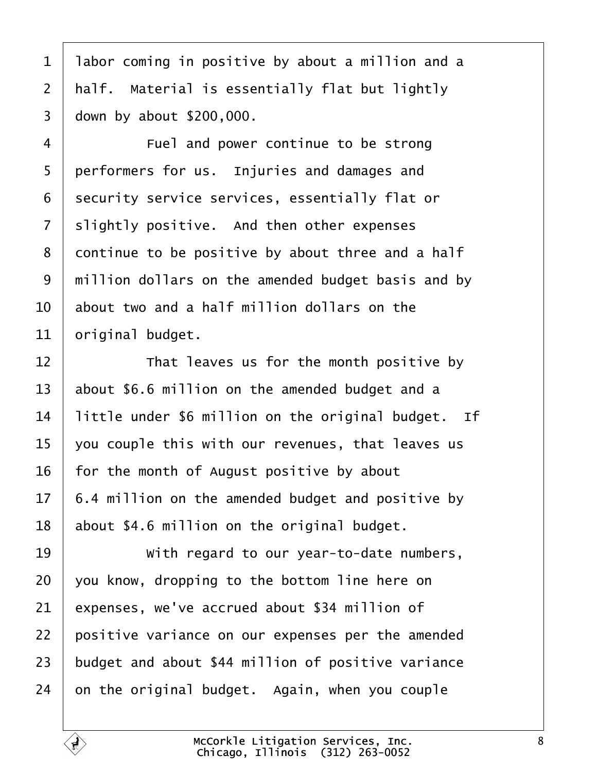<span id="page-7-0"></span> | labor coming in positive by about a million and a  $\mid$  half. Material is essentially flat but lightly down by about \$200,000.

**Fuel and power continue to be strong** 5 performers for us. Injuries and damages and 6 security service services, essentially flat or slightly positive. And then other expenses continue to be positive by about three and a half 9 | million dollars on the amended budget basis and by  $10<sup>1</sup>$  about two and a half million dollars on the original budget.

  $\parallel$  **That leaves us for the month positive by**  $\vert$  about \$6.6 million on the amended budget and a | little under \$6 million on the original budget. If  $\vert$  you couple this with our revenues, that leaves us | for the month of August positive by about  $17 \mid 6.4$  million on the amended budget and positive by | about \$4.6 million on the original budget.

**With regard to our year-to-date numbers**, vou know, dropping to the bottom line here on expenses, we've accrued about \$34 million of | positive variance on our expenses per the amended budget and about \$44 million of positive variance on the original budget. Again, when you couple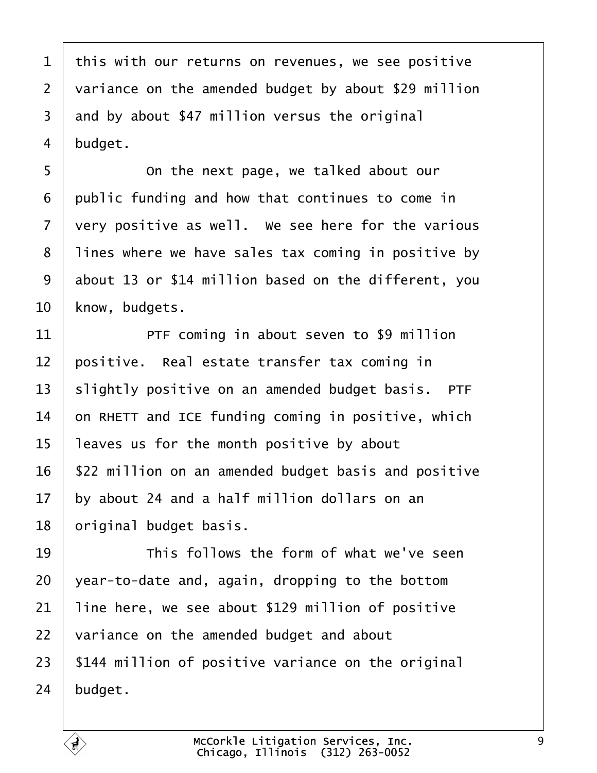<span id="page-8-0"></span> this with our returns on revenues, we see positive 2 variance on the amended budget by about \$29 million and by about \$47 million versus the original  $4 \mid$  budget.

**c** 6 **0**  $\blacksquare$  The next page, we talked about our public funding and how that continues to come in very positive as well. We see here for the various 8 | lines where we have sales tax coming in positive by 9 about 13 or \$14 million based on the different, you 10 | know, budgets.

**PTF** coming in about seven to \$9 million  $\vert$  positive. Real estate transfer tax coming in slightly positive on an amended budget basis. PTF  $\vert$  on RHETT and ICE funding coming in positive, which | leaves us for the month positive by about | \$22 million on an amended budget basis and positive by about 24 and a half million dollars on an | original budget basis.

**I I I** This follows the form of what we've seen vear-to-date and, again, dropping to the bottom | line here, we see about \$129 million of positive  $\mid$  variance on the amended budget and about | \$144 million of positive variance on the original budget.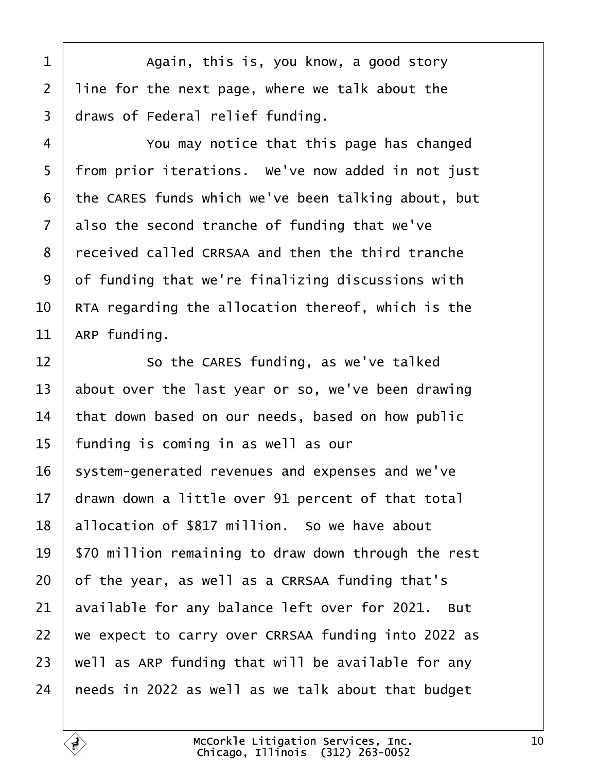<span id="page-9-0"></span>1 Again, this is, you know, a good story | line for the next page, where we talk about the draws of Federal relief funding.

4 You may notice that this page has changed 5 | from prior iterations. We've now added in not just the CARES funds which we've been talking about, but also the second tranche of funding that we've 8 | received called CRRSAA and then the third tranche  $\vert$  of funding that we're finalizing discussions with  $\parallel$  RTA regarding the allocation thereof, which is the ARP funding.

**So the CARES funding, as we've talked**  $\vert$  about over the last year or so, we've been drawing that down based on our needs, based on how public | funding is coming in as well as our system-generated revenues and expenses and we've  $\parallel$  drawn down a little over 91 percent of that total 18 | allocation of \$817 million. So we have about | \$70 million remaining to draw down through the rest of the year, as well as a CRRSAA funding that's available for any balance left over for 2021. But we expect to carry over CRRSAA funding into 2022 as | well as ARP funding that will be available for any  $\vert$  needs in 2022 as well as we talk about that budget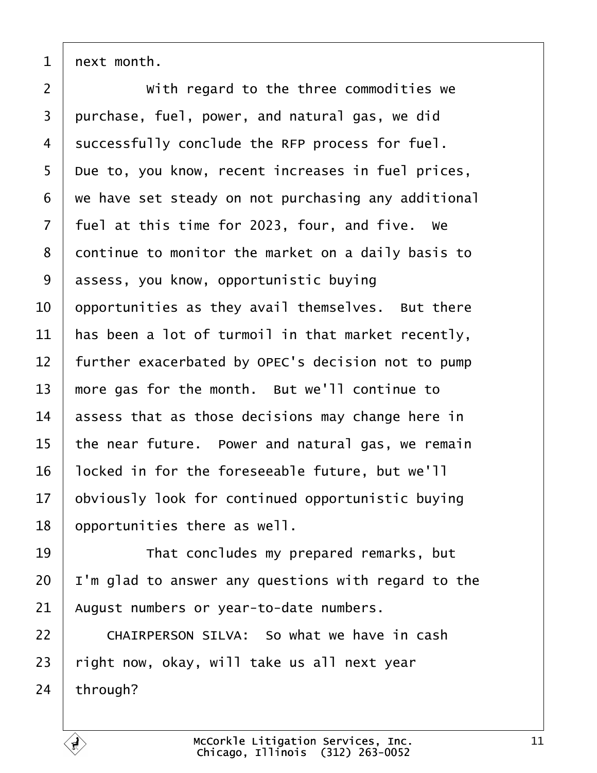<span id="page-10-0"></span>next month.

**With regard to the three commodities we**  purchase, fuel, power, and natural gas, we did 4 | successfully conclude the RFP process for fuel. 5 Due to, you know, recent increases in fuel prices, we have set steady on not purchasing any additional | fuel at this time for 2023, four, and five. We 8 continue to monitor the market on a daily basis to 9 | assess, you know, opportunistic buving  $\vert$  opportunities as they avail themselves. But there has been a lot of turmoil in that market recently, 12 Further exacerbated by OPEC's decision not to pump  $\parallel$  more gas for the month. But we'll continue to assess that as those decisions may change here in the near future. Power and natural gas, we remain 16 | locked in for the foreseeable future, but we'll obviously look for continued opportunistic buying | opportunities there as well.

19 That concludes my prepared remarks, but | I'm glad to answer any questions with regard to the | August numbers or year-to-date numbers.

22 CHAIRPERSON SILVA: So what we have in cash right now, okay, will take us all next year through?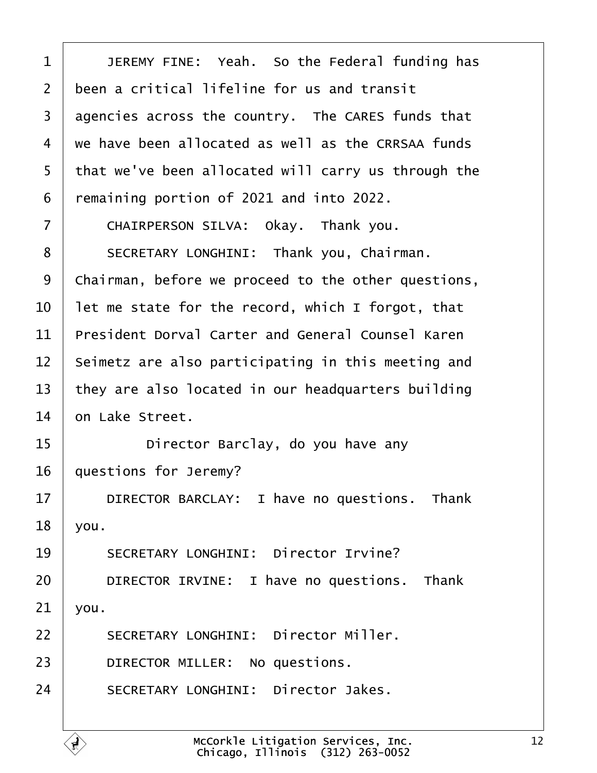<span id="page-11-0"></span>1 | JEREMY FINE: Yeah. So the Federal funding has  $2$   $\vdash$  been a critical lifeline for us and transit  $3$  agencies across the country. The CARES funds that  $4$   $\vert$  we have been allocated as well as the CRRSAA funds 5 | that we've been allocated will carry us through the  $6$  remaining portion of 2021 and into 2022. 7 CHAIRPERSON SILVA: Okay. Thank you. 8 | SECRETARY LONGHINI: Thank you, Chairman. 9 | Chairman, before we proceed to the other questions,  $10$   $\vert$  let me state for the record, which I forgot, that  $11$  President Dorval Carter and General Counsel Karen  $12$  | Seimetz are also participating in this meeting and 13  $\vert$  they are also located in our headquarters building  $14 \mid$  on Lake Street. 15 **bilary Director Barclay, do you have any** 16 | questions for Jeremy? 17 DIRECTOR BARCLAY: I have no questions. Thank  $18$  | you. 19 SECRETARY LONGHINI: Director Irvine? 20 **DIRECTOR IRVINE:** I have no questions. Thank  $21$  vou. 22 SECRETARY LONGHINI: Director Miller. 23 DIRECTOR MILLER: No questions.

24 SECRETARY LONGHINI: Director Jakes.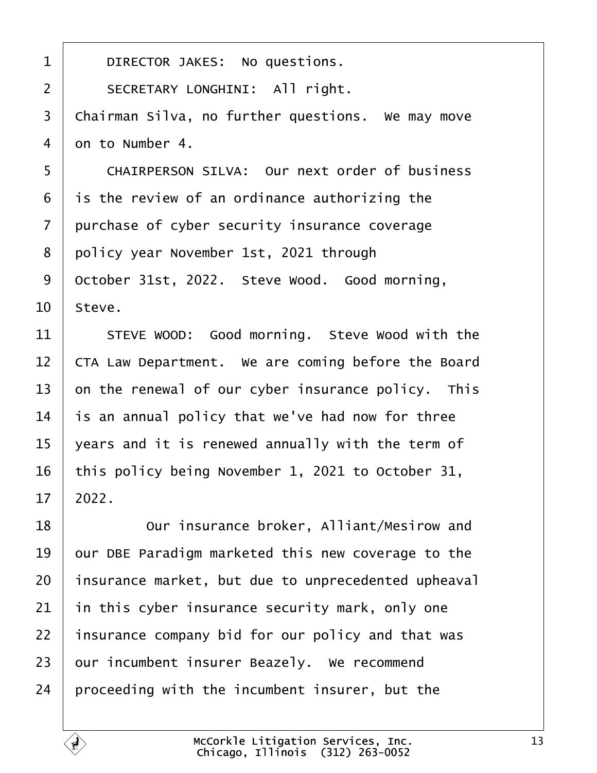<span id="page-12-0"></span>

| $\mathbf{1}$   | DIRECTOR JAKES: No questions.                       |
|----------------|-----------------------------------------------------|
| $\overline{2}$ | SECRETARY LONGHINI: All right.                      |
| 3              | Chairman Silva, no further questions. We may move   |
| $\overline{4}$ | on to Number 4.                                     |
| 5              | CHAIRPERSON SILVA: Our next order of business       |
| 6              | is the review of an ordinance authorizing the       |
| $\overline{7}$ | purchase of cyber security insurance coverage       |
| 8              | policy year November 1st, 2021 through              |
| 9              | October 31st, 2022. Steve Wood. Good morning,       |
| 10             | Steve.                                              |
| 11             | STEVE WOOD: Good morning. Steve Wood with the       |
| 12             | CTA Law Department. We are coming before the Board  |
| 13             | on the renewal of our cyber insurance policy. This  |
| 14             | is an annual policy that we've had now for three    |
| 15             | years and it is renewed annually with the term of   |
| 16             | this policy being November 1, 2021 to October 31,   |
| 17             | 2022.                                               |
| 18             | Our insurance broker, Alliant/Mesirow and           |
| 19             | our DBE Paradigm marketed this new coverage to the  |
| 20             | insurance market, but due to unprecedented upheaval |
| 21             | in this cyber insurance security mark, only one     |
| 22             | insurance company bid for our policy and that was   |
| 23             | our incumbent insurer Beazely. We recommend         |
| 24             | proceeding with the incumbent insurer, but the      |

É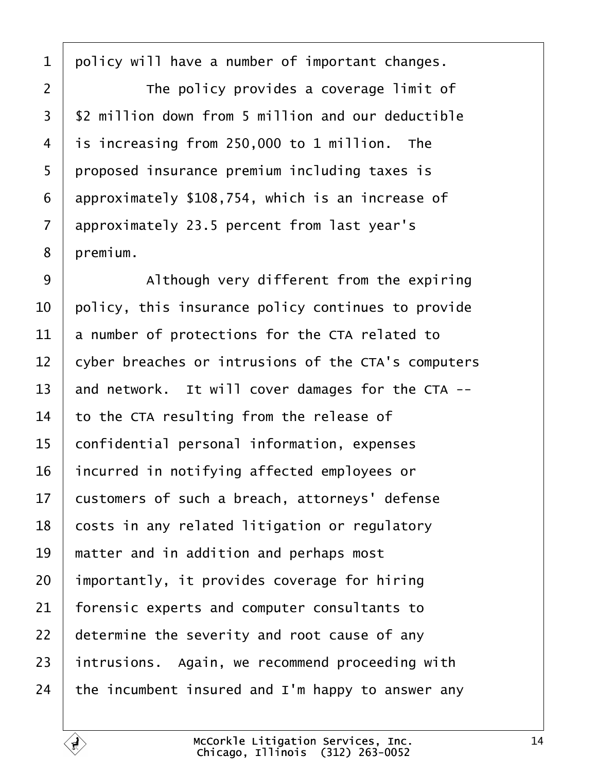<span id="page-13-0"></span>policy will have a number of important changes.

**I** The policy provides a coverage limit of  $3 \mid$  \$2 million down from 5 million and our deductible is increasing from 250,000 to 1 million. The 5 proposed insurance premium including taxes is approximately \$108,754, which is an increase of approximately 23.5 percent from last year's 8 | premium.

9 | Although very different from the expiring  $\vert$  policy, this insurance policy continues to provide a number of protections for the CTA related to 12 cyber breaches or intrusions of the CTA's computers  $\parallel$  and network. It will cover damages for the CTA -- to the CTA resulting from the release of 15 | confidential personal information, expenses incurred in notifying affected employees or 17 | customers of such a breach, attorneys' defense costs in any related litigation or regulatory | matter and in addition and perhaps most | importantly, it provides coverage for hiring  $\vert$  forensic experts and computer consultants to determine the severity and root cause of any intrusions. Again, we recommend proceeding with  $\vert$  the incumbent insured and I'm happy to answer any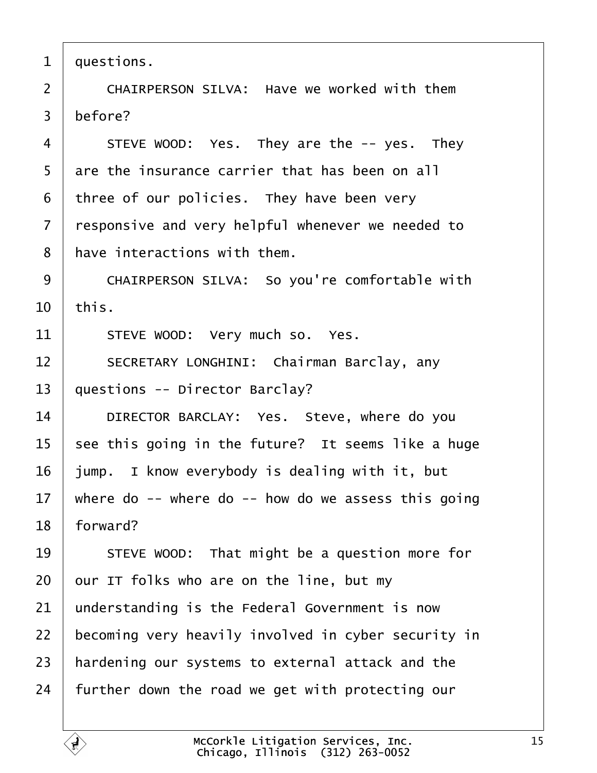<span id="page-14-0"></span> $1 |$  questions.

2 | CHAIRPERSON SILVA: Have we worked with them  $3$  before?

 | STEVE WOOD: Yes. They are the  $-$  yes. They 5 are the insurance carrier that has been on all three of our policies. They have been very  $\vert$  responsive and very helpful whenever we needed to | have interactions with them.

9 | CHAIRPERSON SILVA: So you're comfortable with  $10$  | this.

11 | STEVE WOOD: Very much so. Yes.

12 SECRETARY LONGHINI: Chairman Barclay, any  $13$  | questions -- Director Barclay?

14 DIRECTOR BARCLAY: Yes. Steve, where do you  $15$  see this going in the future? It seems like a huge  $16$  | jump. I know everybody is dealing with it, but 17 | where do -- where do -- how do we assess this going  $18$  | forward?

19 STEVE WOOD: That might be a question more for our IT folks who are on the line, but my understanding is the Federal Government is now 22 becoming very heavily involved in cyber security in | hardening our systems to external attack and the further down the road we get with protecting our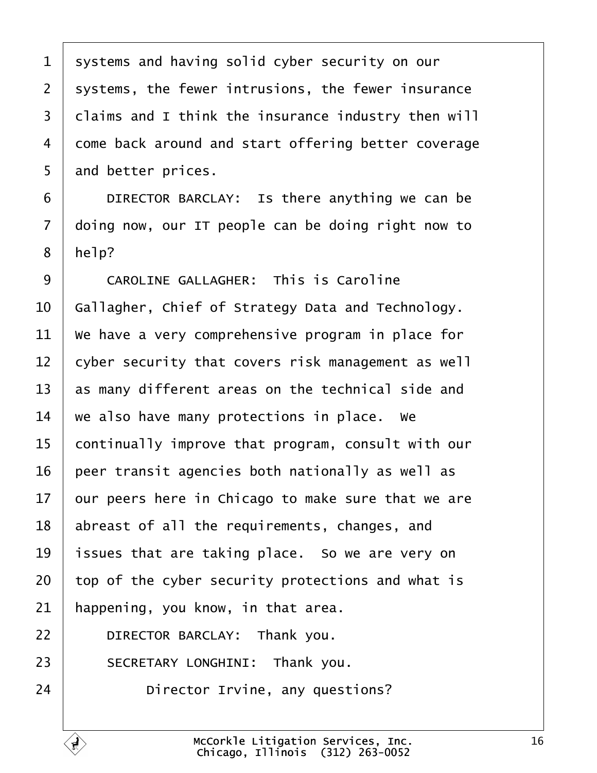<span id="page-15-0"></span>1 systems and having solid cyber security on our 2 | systems, the fewer intrusions, the fewer insurance 3 claims and I think the insurance industry then will 4 come back around and start offering better coverage 5 and better prices.

**DIRECTOR BARCLAY:** Is there anything we can be  $\vert$  doing now, our IT people can be doing right now to | help?

9 CAROLINE GALLAGHER: This is Caroline  $\mid$  Gallagher, Chief of Strategy Data and Technology.  $\parallel$  We have a very comprehensive program in place for  $\vert$  cyber security that covers risk management as well  $\vert$  as many different areas on the technical side and  $\vert$  we also have many protections in place. We 15 continually improve that program, consult with our peer transit agencies both nationally as well as our peers here in Chicago to make sure that we are | abreast of all the requirements, changes, and  $\vert$  issues that are taking place. So we are very on top of the cyber security protections and what is | happening, you know, in that area.

**DIRECTOR BARCLAY:** Thank you.

23 SECRETARY LONGHINI: Thank you.

**Director Irvine, any questions?**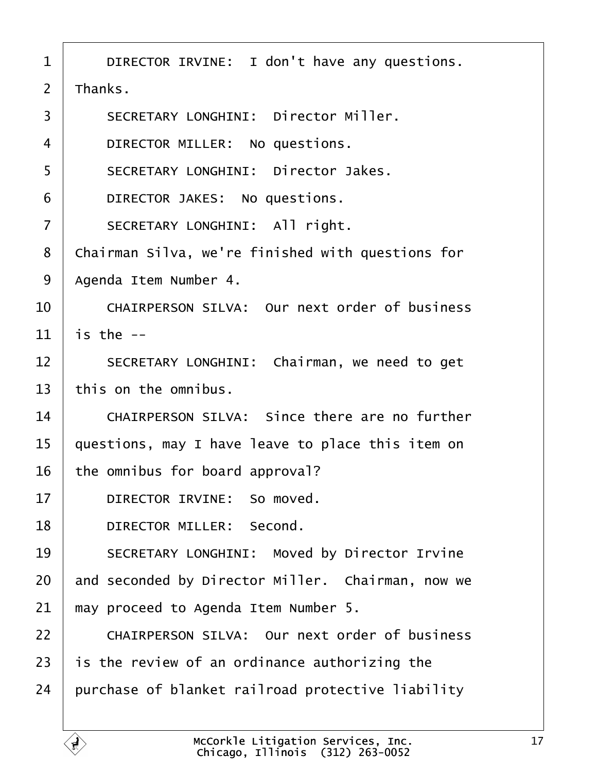<span id="page-16-0"></span>

| $\mathbf 1$    | DIRECTOR IRVINE: I don't have any questions.      |
|----------------|---------------------------------------------------|
| $\overline{2}$ | Thanks.                                           |
| 3              | SECRETARY LONGHINI: Director Miller.              |
| 4              | DIRECTOR MILLER: No questions.                    |
| 5              | SECRETARY LONGHINI: Director Jakes.               |
| 6              | DIRECTOR JAKES: No questions.                     |
| $\overline{7}$ | SECRETARY LONGHINI: All right.                    |
| 8              | Chairman Silva, we're finished with questions for |
| 9              | Agenda Item Number 4.                             |
| 10             | CHAIRPERSON SILVA: Our next order of business     |
| 11             | is the $-$                                        |
| 12             | SECRETARY LONGHINI: Chairman, we need to get      |
| 13             | this on the omnibus.                              |
| 14             | CHAIRPERSON SILVA: Since there are no further     |
| 15             | questions, may I have leave to place this item on |
| 16             | the omnibus for board approval?                   |
| 17             | DIRECTOR IRVINE: So moved.                        |
| 18             | DIRECTOR MILLER: Second.                          |
| 19             | SECRETARY LONGHINI: Moved by Director Irvine      |
| 20             | and seconded by Director Miller. Chairman, now we |
| 21             | may proceed to Agenda Item Number 5.              |
| 22             | CHAIRPERSON SILVA: Our next order of business     |
| 23             | is the review of an ordinance authorizing the     |
| 24             | purchase of blanket railroad protective liability |
|                |                                                   |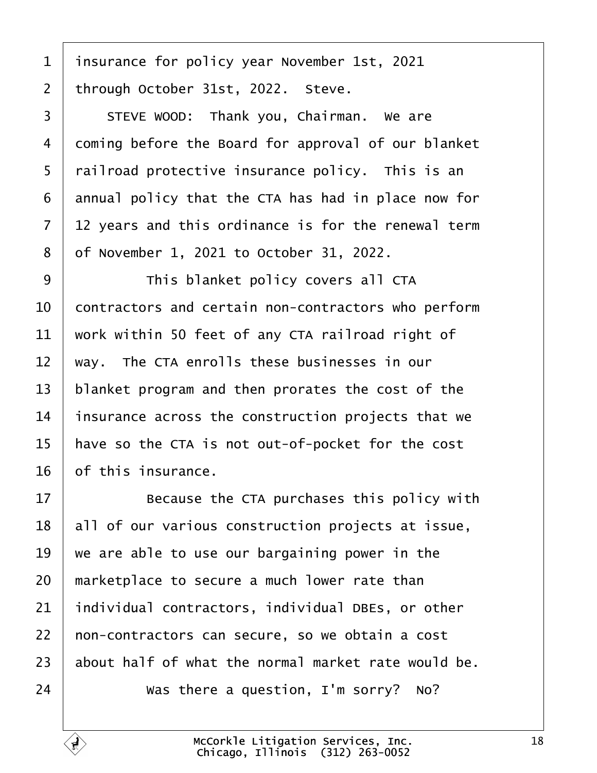<span id="page-17-0"></span>1 | insurance for policy year November 1st, 2021 through October 31st, 2022. Steve.

3 STEVE WOOD: Thank you, Chairman. We are 4 coming before the Board for approval of our blanket | railroad protective insurance policy. This is an annual policy that the CTA has had in place now for | 12 years and this ordinance is for the renewal term ·8· ·of November 1, 2021 to October 31, 2022.

9 | This blanket policy covers all CTA  $\vert$  contractors and certain non-contractors who perform  $\vert$  work within 50 feet of any CTA railroad right of  $\parallel$  way. The CTA enrolls these businesses in our | blanket program and then prorates the cost of the  $\parallel$  insurance across the construction projects that we | have so the CTA is not out-of-pocket for the cost of this insurance.

**Because the CTA purchases this policy with**  | all of our various construction projects at issue, we are able to use our bargaining power in the  $\parallel$  marketplace to secure a much lower rate than individual contractors, individual DBEs, or other 22 | non-contractors can secure, so we obtain a cost about half of what the normal market rate would be.  $\vert$  was there a question, I'm sorry? No?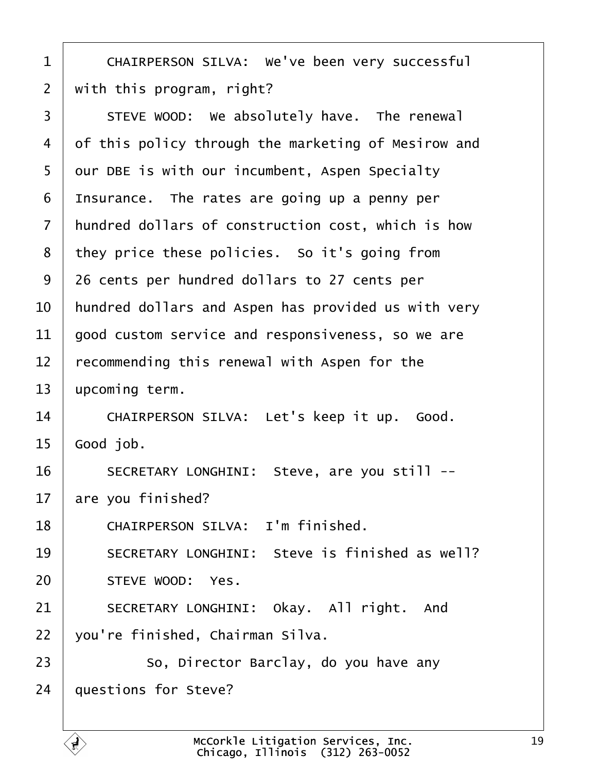<span id="page-18-0"></span>1 | CHAIRPERSON SILVA: We've been very successful  $2 \mid$  with this program, right? 3 STEVE WOOD: We absolutely have. The renewal 4 of this policy through the marketing of Mesirow and 5 | our DBE is with our incumbent, Aspen Specialty  $6$  | Insurance. The rates are going up a penny per 7 | hundred dollars of construction cost, which is how 8 they price these policies. So it's going from 9 26 cents per hundred dollars to 27 cents per  $10$   $\parallel$  hundred dollars and Aspen has provided us with very  $11$  aood custom service and responsiveness, so we are  $12$   $\vert$  recommending this renewal with Aspen for the  $13$  upcoming term. 14 CHAIRPERSON SILVA: Let's keep it up. Good.  $15 \mid$  Good job. 16 SECRETARY LONGHINI: Steve, are you still -- $17$  are you finished? 18 CHAIRPERSON SILVA: I'm finished. 19 SECRETARY LONGHINI: Steve is finished as well? 20 STEVE WOOD: Yes. 21 SECRETARY LONGHINI: Okay. All right. And 22 vou're finished, Chairman Silva. 23 | So, Director Barclay, do you have any  $24$  | questions for Steve?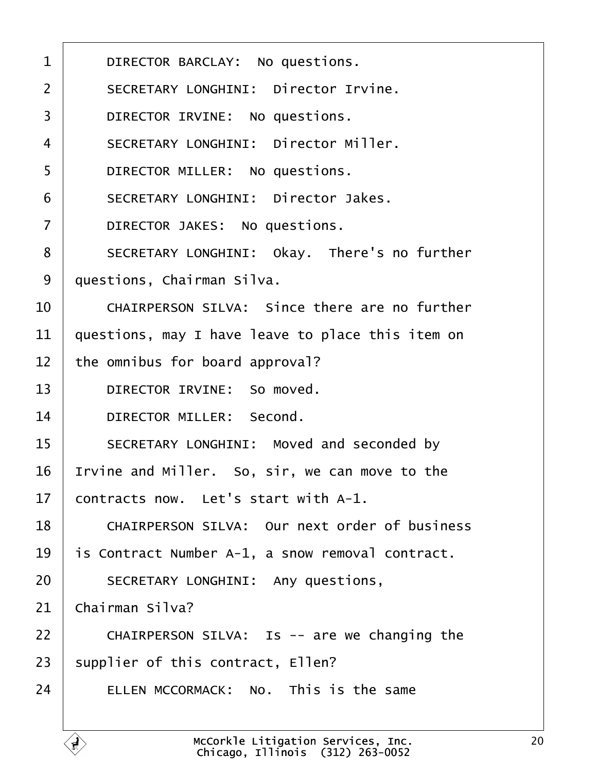<span id="page-19-0"></span>

| $\mathbf 1$    | DIRECTOR BARCLAY: No questions.                   |
|----------------|---------------------------------------------------|
| $\overline{2}$ | SECRETARY LONGHINI: Director Irvine.              |
| $\overline{3}$ | DIRECTOR IRVINE: No questions.                    |
| $\overline{4}$ | SECRETARY LONGHINI: Director Miller.              |
| 5              | DIRECTOR MILLER: No questions.                    |
| 6              | SECRETARY LONGHINI: Director Jakes.               |
| $\overline{7}$ | DIRECTOR JAKES: No questions.                     |
| 8              | SECRETARY LONGHINI: Okay. There's no further      |
| 9              | questions, Chairman Silva.                        |
| 10             | CHAIRPERSON SILVA: Since there are no further     |
| 11             | questions, may I have leave to place this item on |
| 12             | the omnibus for board approval?                   |
| 13             | DIRECTOR IRVINE: So moved.                        |
| 14             | DIRECTOR MILLER: Second.                          |
| 15             | SECRETARY LONGHINI: Moved and seconded by         |
| 16             | Irvine and Miller. So, sir, we can move to the    |
| 17             | contracts now. Let's start with A-1.              |
| 18             | CHAIRPERSON SILVA: Our next order of business     |
| 19             | is Contract Number A-1, a snow removal contract.  |
| 20             | SECRETARY LONGHINI: Any questions,                |
| 21             | Chairman Silva?                                   |
| 22             | CHAIRPERSON SILVA: Is -- are we changing the      |
| 23             | supplier of this contract, Ellen?                 |
| 24             | ELLEN MCCORMACK: No. This is the same             |
|                |                                                   |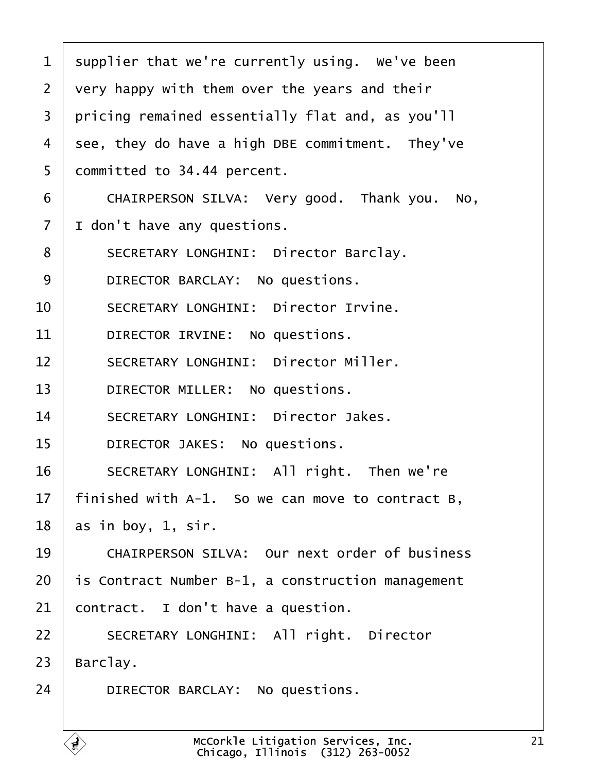<span id="page-20-0"></span>

| $\mathbf{1}$   | supplier that we're currently using. We've been   |
|----------------|---------------------------------------------------|
| $\overline{2}$ | very happy with them over the years and their     |
| 3              | pricing remained essentially flat and, as you'll  |
| 4              | see, they do have a high DBE commitment. They've  |
| 5              | committed to 34.44 percent.                       |
| 6              | CHAIRPERSON SILVA: Very good. Thank you. No,      |
| $\overline{7}$ | I don't have any questions.                       |
| 8              | SECRETARY LONGHINI: Director Barclay.             |
| 9              | DIRECTOR BARCLAY: No questions.                   |
| 10             | SECRETARY LONGHINI: Director Irvine.              |
| 11             | DIRECTOR IRVINE: No questions.                    |
| 12             | SECRETARY LONGHINI: Director Miller.              |
| 13             | DIRECTOR MILLER: No questions.                    |
| 14             | SECRETARY LONGHINI: Director Jakes.               |
| 15             | DIRECTOR JAKES: No questions.                     |
| 16             | SECRETARY LONGHINI: All right. Then we're         |
| 17             | finished with A-1. So we can move to contract B,  |
| 18             | as in boy, 1, sir.                                |
| 19             | CHAIRPERSON SILVA: Our next order of business     |
| 20             | is Contract Number B-1, a construction management |
| 21             | contract. I don't have a question.                |
| 22             | SECRETARY LONGHINI: All right. Director           |
| 23             | Barclay.                                          |
| 24             | DIRECTOR BARCLAY: No questions.                   |
|                |                                                   |

E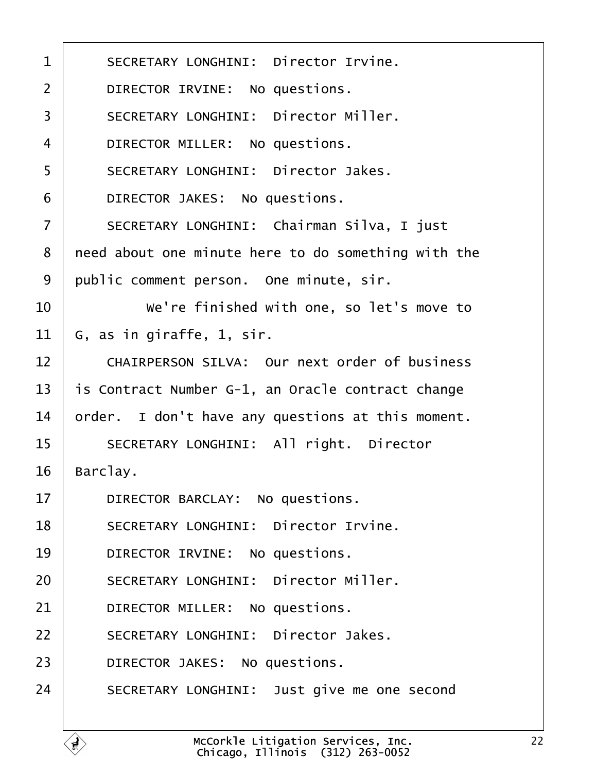<span id="page-21-0"></span>

| SECRETARY LONGHINI: Director Irvine.                |
|-----------------------------------------------------|
| DIRECTOR IRVINE: No questions.                      |
| SECRETARY LONGHINI: Director Miller.                |
| DIRECTOR MILLER: No questions.                      |
| SECRETARY LONGHINI: Director Jakes.                 |
| DIRECTOR JAKES: No questions.                       |
| SECRETARY LONGHINI: Chairman Silva, I just          |
| need about one minute here to do something with the |
| public comment person. One minute, sir.             |
| We're finished with one, so let's move to           |
| G, as in giraffe, 1, sir.                           |
| CHAIRPERSON SILVA: Our next order of business       |
| is Contract Number G-1, an Oracle contract change   |
| order. I don't have any questions at this moment.   |
| SECRETARY LONGHINI: All right. Director             |
| Barclay.                                            |
| DIRECTOR BARCLAY: No questions.                     |
| SECRETARY LONGHINI: Director Irvine.                |
| DIRECTOR IRVINE: No questions.                      |
| SECRETARY LONGHINI: Director Miller.                |
| DIRECTOR MILLER: No questions.                      |
| SECRETARY LONGHINI: Director Jakes.                 |
| DIRECTOR JAKES: No questions.                       |
| SECRETARY LONGHINI: Just give me one second         |
|                                                     |

É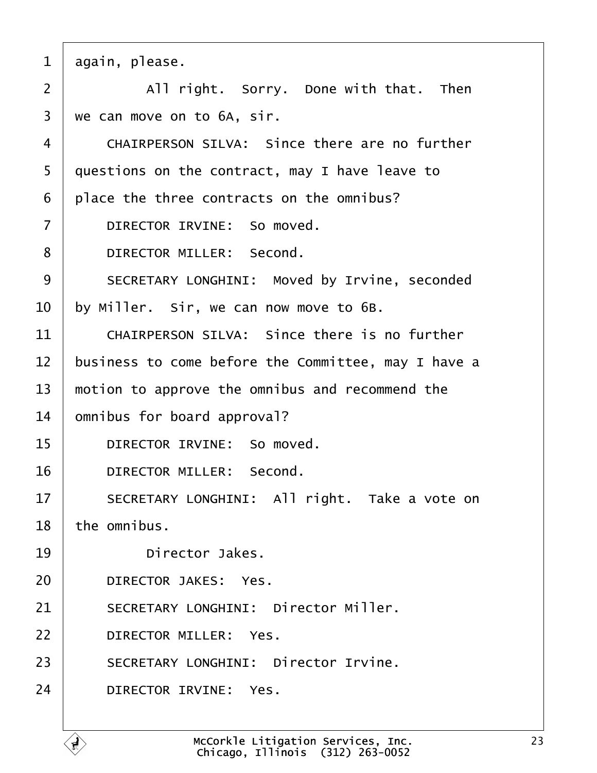<span id="page-22-0"></span>

| $\mathbf{1}$   | again, please.                                      |
|----------------|-----------------------------------------------------|
| $\overline{2}$ | All right. Sorry. Done with that. Then              |
| 3              | we can move on to 6A, sir.                          |
| 4              | CHAIRPERSON SILVA: Since there are no further       |
| 5              | questions on the contract, may I have leave to      |
| 6              | place the three contracts on the omnibus?           |
| $\overline{7}$ | DIRECTOR IRVINE: So moved.                          |
| 8              | DIRECTOR MILLER: Second.                            |
| 9              | SECRETARY LONGHINI: Moved by Irvine, seconded       |
| 10             | by Miller. Sir, we can now move to 6B.              |
| 11             | CHAIRPERSON SILVA: Since there is no further        |
| 12             | business to come before the Committee, may I have a |
| 13             | motion to approve the omnibus and recommend the     |
| 14             | omnibus for board approval?                         |
| 15             | DIRECTOR IRVINE: So moved.                          |
| 16             | DIRECTOR MILLER: Second.                            |
| 17             | SECRETARY LONGHINI: All right. Take a vote on       |
| 18             | the omnibus.                                        |
| 19             | Director Jakes.                                     |
| 20             | DIRECTOR JAKES: Yes.                                |
| 21             | SECRETARY LONGHINI: Director Miller.                |
| 22             | DIRECTOR MILLER: Yes.                               |
| 23             | SECRETARY LONGHINI: Director Irvine.                |
| 24             | DIRECTOR IRVINE: Yes.                               |
|                |                                                     |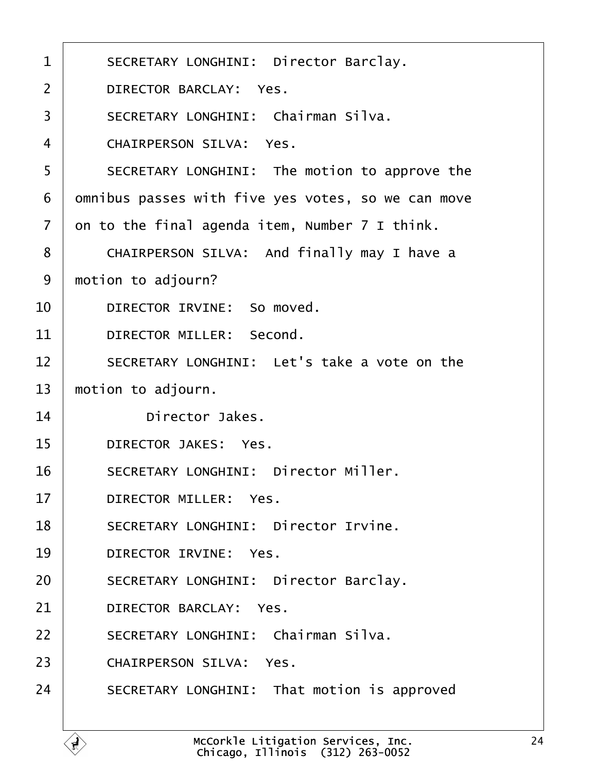<span id="page-23-0"></span>

| $\mathbf 1$    | SECRETARY LONGHINI: Director Barclay.              |
|----------------|----------------------------------------------------|
| $\overline{2}$ | DIRECTOR BARCLAY: Yes.                             |
| 3              | SECRETARY LONGHINI: Chairman Silva.                |
| $\overline{4}$ | CHAIRPERSON SILVA: Yes.                            |
| 5              | SECRETARY LONGHINI: The motion to approve the      |
| 6              | omnibus passes with five yes votes, so we can move |
| $\overline{7}$ | on to the final agenda item, Number 7 I think.     |
| 8              | CHAIRPERSON SILVA: And finally may I have a        |
| 9              | motion to adjourn?                                 |
| 10             | DIRECTOR IRVINE: So moved.                         |
| 11             | DIRECTOR MILLER: Second.                           |
| 12             | SECRETARY LONGHINI: Let's take a vote on the       |
| 13             | motion to adjourn.                                 |
| 14             | Director Jakes.                                    |
| 15             | DIRECTOR JAKES: Yes.                               |
| 16             | SECRETARY LONGHINI: Director Miller.               |
| 17             | DIRECTOR MILLER: Yes.                              |
| 18             | SECRETARY LONGHINI: Director Irvine.               |
| 19             | DIRECTOR IRVINE: Yes.                              |
| 20             | SECRETARY LONGHINI: Director Barclay.              |
| 21             | DIRECTOR BARCLAY: Yes.                             |
| 22             | SECRETARY LONGHINI: Chairman Silva.                |
| 23             | CHAIRPERSON SILVA: Yes.                            |
| 24             | SECRETARY LONGHINI: That motion is approved        |
|                |                                                    |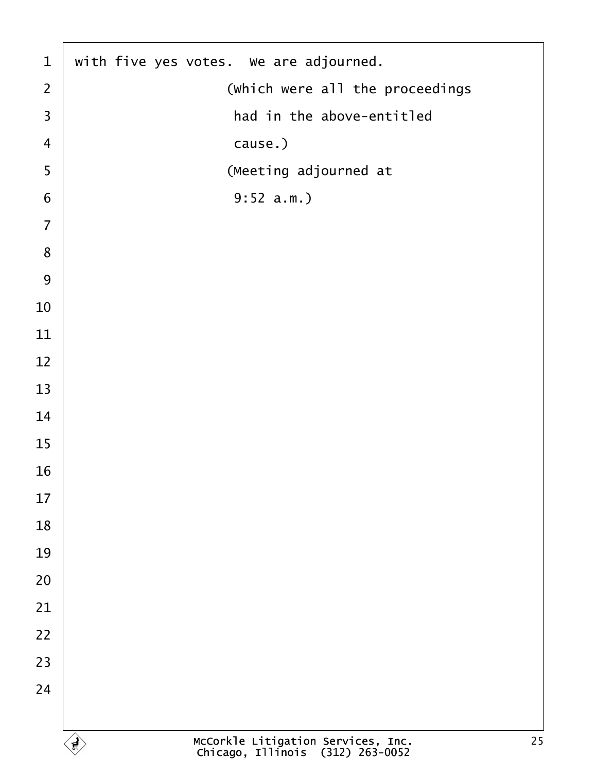<span id="page-24-0"></span>

| $\mathbf{1}$   | with five yes votes. We are adjourned.                                       |
|----------------|------------------------------------------------------------------------------|
| $\overline{2}$ | (which were all the proceedings                                              |
| $\overline{3}$ | had in the above-entitled                                                    |
| $\overline{4}$ | cause.)                                                                      |
| 5              | (Meeting adjourned at                                                        |
| 6              | $9:52 a.m.$ )                                                                |
| $\overline{7}$ |                                                                              |
| $\bf 8$        |                                                                              |
| 9              |                                                                              |
| 10             |                                                                              |
| 11             |                                                                              |
| 12             |                                                                              |
| 13             |                                                                              |
| 14             |                                                                              |
| 15             |                                                                              |
| 16             |                                                                              |
| 17             |                                                                              |
| 18             |                                                                              |
| 19             |                                                                              |
| 20             |                                                                              |
| 21             |                                                                              |
| 22             |                                                                              |
| 23             |                                                                              |
| 24             |                                                                              |
|                |                                                                              |
|                | McCorkle Litigation Services, Inc.<br>Chicago, Illinois (312) 263-0052<br>25 |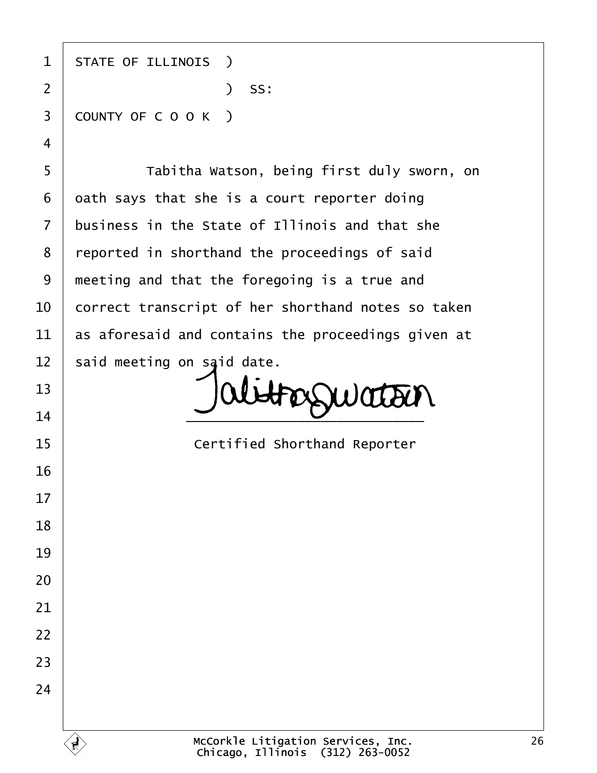1 | STATE OF ILLINOIS ) ·2· · · · · · · · · · · )· SS: 3 COUNTY OF C O O K ) 5 | Tabitha Watson, being first duly sworn, on oath says that she is a court reporter doing business in the State of Illinois and that she 8 | reported in shorthand the proceedings of said

 | meeting and that the foregoing is a true and  $\vert$  correct transcript of her shorthand notes so taken  $\vert$  as aforesaid and contains the proceedings given at said meeting on said date.

FOSSWATOUN  $\overline{\phantom{a}14}$   $\overline{\phantom{a}14}$ 

**If the State of Certified Shorthand Reporter**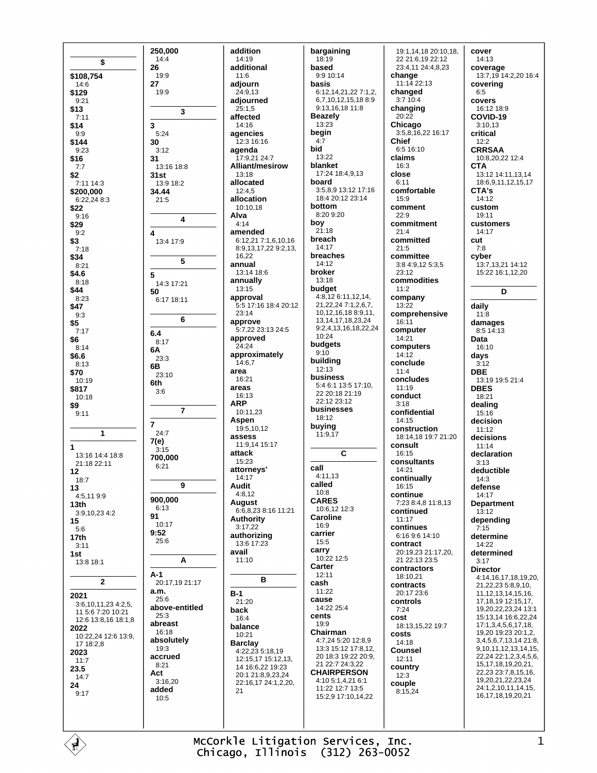250.000  $14:4$ \$ 26 \$108,754  $19.9$  $27$  $14:6$ \$129  $19.9$  $9.21$  $$13$  $7.11$ \$14 3  $9:9$  $5:24$ \$144 30  $9.23$  $3.12$ \$16 31  $13.16$   $18.8$  $7.7$ \$2  $31st$ 7:11 14:3 13:9 18:2 \$200,000 34.44 6:22.24 8:3  $21.5$ \$22  $9:16$ \$29  $9:2$  $\overline{\mathbf{A}}$ \$3 13:4 17:9  $7:18$ \$34  $8:21$ \$4.6 5  $8.18$ 14:3 17:21 \$44 50  $8.23$  $6.1718.11$ \$47  $9:3$ \$5  $7.17$  $6.4$ \$6  $8.17$  $8:14$ 6A \$6.6  $23:3$  $8.13$ 6**B** \$70  $23:10$ 10:19 6th \$817  $3:6$  $10:18$ \$9  $9:11$  $\overline{7}$ 1  $24:7$ 7(e)  $\mathbf{1}$  $3.15$ 13:16 14:4 18:8 700,000 21:18 22:11  $6:21$  $12$  $18:7$ 13  $4.51199$ 900,000  $13<sub>th</sub>$  $6:13$ 3:9,10,23 4:2 91 15  $10:17$  $5:6$  $9.52$  $17<sub>th</sub>$  $25.6$  $3:11$ 1st  $13.818.1$  $A-1$ 20:17.19 21:17  $\overline{2}$  $a.m.$ 2021  $25.6$ 3:6.10.11.23 4:2.5. above-entitled 11.5:6.7:20.10:21  $25.3$ 12:6 13:8.16 18:1.8 abreast 2022  $16:18$ 10:22,24 12:6 13:9, absolutely 17 18:2.8  $19.3$ 2023 accrued  $11.7$  $8:21$ 23.5 Act  $14:7$  $3.1620$ 24 added  $9:17$  $10:5$ 

 $\overline{\mathbf{r}}$ 

 $\overline{4}$ 

5

6

 $\overline{7}$ 

9

A

addition 14:19 additional  $11.6$ adiourn 24:9.13 adjourned  $25:1,5$ affected  $14.16$ agencies 12:3 16:16 agenda 17:9,21 24:7 Alliant/mesirow 13:18 allocated  $12:4.5$ allocation 10:10.18 Alva  $4.14$ amended 6:12,21 7:1,6,10,16 8:9,13,17,22 9:2,13, 16.22 annual 13:14 18:6 annually  $13.15$ approval 5:5 17:16 18:4 20:12  $23.14$ approve 5:7,22 23:13 24:5 approved 24:24 approximately 14:6,7 area  $16:21$ areas 16:13 **ARP** 10:11,23 Aspen 19:5,10,12 **ASSASS** 11:9,14 15:17 attack 15:23 attornevs'  $14.17$ Audit  $4:8,12$ **August** 6:6,8,23 8:16 11:21 Authority  $3:17.22$ authorizing 13:6 17:23 avail  $11:10$ B  $B-1$ 21:20 hack  $16:4$ balance  $10:21$ **Barclay** 4:22,23 5:18,19 12:15,17 15:12,13, 14 16:6,22 19:23 20:1 21:8,9,23,24 22:16,17 24:1,2,20,  $21$ 

bargaining  $18:19$ based  $9.910.14$ hasis 6:12,14,21,22 7:1,2, 6,7,10,12,15,188:9 9:13,16,18 11:8 **Beazely** 13:23 begin  $4:7$ hid 13:22 blanket 17:24 18:4.9.13 hoard 3:5.8.9 13:12 17:16 18:4 20:12 23:14 bottom 8:20 9:20 bov  $21.18$ breach  $14:17$ breaches  $14.12$ broker  $13:18$ budget 4:8,12 6:11,12,14, 21.22.24 7:1.2.6.7. 10,12,16,18 8:9,11, 13 14 17 18 23 24 9:2.4.13.16.18.22.24  $10:24$ budgets  $9:10$ building  $12:13$ business 5:4 6:1 13:5 17:10. 22.20:18.21:19 22:12 23:12 businesses 18:12 buying 11:9,17 C call  $4:11,13$ called  $10.8$ **CARES** 10:6,12 12:3 **Caroline** 16:9 carrier  $15:5$ carry  $10:2212.5$ Carter 12:11 cash  $11.22$ cause 14:22 25:4 cents 19:9 Chairman 4:7,24 5:20 12:8,9 13:3 15:12 17:8 12 20 18:3 19:22 20:9, 21 22:7 24:3,22 **CHAIRPERSON** 4:10 5:1,4,21 6:1 11:22 12:7 13:5 15.2 9 17:10 14 22

19:1.14.18 20:10.18. 22 21:6,19 22:12 23:4,11 24:4,8,23 change  $11:1422:13$ changed  $3:710:4$ changing  $20.22$ Chicago  $3:58162216:17$ **Chief** 6:5 16:10 claims  $16:3$ close  $6.11$ comfortable 15:9 comment  $22.9$ commitment  $21:4$ committed  $21:5$ committee 3:8 4:9.12 5:3.5  $23:12$ commodities  $11.2$ company  $13:22$ comprehensive  $16:11$ computer  $14:21$ computers  $14.12$ conclude  $11:4$ concludes  $11.19$ conduct  $3:18$ confidential 14:15 construction 18:14.18 19:7 21:20 consult 16:15 consultants 14:21 continually 16:15 continue 7:23 8:4,8 11:8,13 continued  $11.17$ continues 6:16 9:6 14:10 contract 20:19.23 21:17.20. 21 22:13 23:5 contractors  $18:10.21$ contracts 20:17 23:6 controls  $7.24$ cost 18:13.15.22 19:7 costs  $14.18$ **Counsel**  $12.11$ country  $12:3$ couple  $8.1524$ 

cover  $14:13$ coverage 13:7.19 14:2.20 16:4 covering  $6.5$ covers 16:12 18:9 COVID-19  $3:10.13$ critical  $12:2$ **CRRSAA** 10:8,20,22 12:4 **CTA** 13:12 14:11,13,14 18:6.9.11.12.15.17 CTA's  $14.12$ custom  $19.11$ customers 14:17 cut  $7.8$ cyber 13:7,13,21 14:12 15:22 16:1,12,20 D daily  $11:8$ damages  $8.514.13$ Data 16:10 days  $3:12$ **DBE** 13:19 19:5 21:4 **DRES** 18:21 dealing  $15:16$ decision  $11.12$ decisions  $11:14$ declaration  $3.13$ deductible  $14:3$ defense 14:17 **Department** 13:12 depending  $7:15$ determine 14:22 determined  $3:17$ **Director** 4:14,16,17,18,19,20, 21, 22, 23 5:8, 9, 10, 11.12.13.14.15.16. 17.18.19 12:15.17. 19.20.22.23.24 13:1 15:13 14 16:6 22 24 17:1.3.4.5.6.17.18. 19,20 19:23 20:1,2, 3,4,5,6,7,13,14 21:8, 9.10.11.12.13.14.15. 22,24 22:1,2,3,4,5,6, 15, 17, 18, 19, 20, 21, 22,23 23:7,8,15,16, 19,20,21,22,23,24 24:1,2,10,11,14,15, 16, 17, 18, 19, 20, 21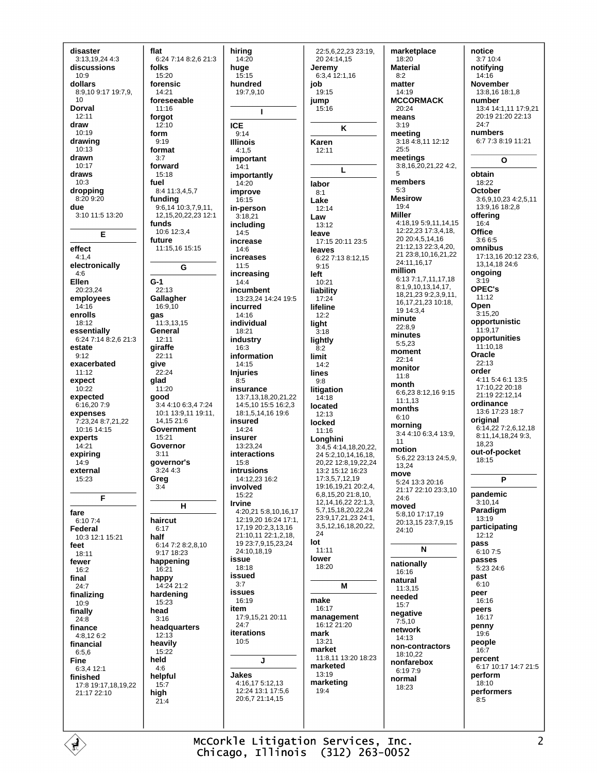disaster 3:13,19,24 4:3 discussions  $10.9$ dollars 8:9,10 9:17 19:7.9.  $10$ Dorval  $12.11$ draw  $10.19$ drawing  $10:13$ drawn  $10:17$ draws  $10.3$ dropping  $8:209:20$ due  $3:10$  11:5 13:20 E effect  $4:1,4$ electronically  $4:6$ Ellen  $20.23.24$ employees  $14:16$ enrolls 18:12 essentially 6:24 7:14 8:2.6 21:3 estate  $9:12$ exacerbated  $11.12$ expect  $10:22$ expected 6:16.207:9 expenses 7:23.24 8:7.21.22  $10.16$   $14.15$ experts 14:21 expirina  $14.9$ external 15:23  $\overline{F}$ fare 6:10 7:4 Federal 10:3 12:1 15:21 feet  $18:11$ fewer 16:2 final  $24:7$ finalizing  $10:9$ finally  $24:8$ finance 4:8.12 6:2 financial  $6:5.6$ Fine  $6:3412:1$ finished 17:8 19:17,18,19,22 21:17 22:10

flat 6:24 7:14 8:2,6 21:3 folks  $15:20$ forensic  $14.21$ foreseeable 11:16 forgot  $12.10$ form  $9:19$ format  $3:7$ forward  $15:18$ fuel 8:4 11:3.4.5.7 funding 9:6,14 10:3,7,9,11, 12, 15, 20, 22, 23 12:1 funds 10:6 12:3,4 future  $11:15,16$  15:15  $\mathbf{c}$  $G-1$  $22.13$ Gallagher 16:9.10  $gas$  $11:3,13,15$ General  $12.11$ giraffe  $22:11$ give  $22.24$ glad  $11:20$ good 3:4 4:10 6:3.4 7:24 10:1 13:9,11 19:11, 14.15 21:6 Government  $15:21$ Governor  $3:11$ governor's  $3.2443$ Greg  $3:4$  $H$ haircut  $6:17$ half 6:14 7:2 8:2.8.10 9:17 18:23 happening  $16:21$ happy 14:24 21:2 hardening 15:23 head  $3:16$ headquarters  $12.13$ heavily 15:22 held  $4:6$ helpful  $15:7$ high  $21.4$ 

hiring  $14:20$ huae  $15.15$ hundred  $19.7910$ T **ICE**  $9:14$ **Illinois**  $4.15$ important  $14:1$ importantly  $14:20$ improve  $16.15$ in-person  $3:18.21$ including  $14:5$ increase 14:6 increases  $11:5$ increasing  $14.4$ incumbent 13:23,24 14:24 19:5 incurred  $14:16$ individual  $18.21$ industry  $16:3$ information  $14.15$ **Injuries**  $8:5$ insurance 13:7,13,18,20,21,22 14:5.10 15:5 16:2.3 18:1.5.14.16 19:6 insured  $14.24$ insurer 13:23,24 **interactions**  $15.8$ intrusions 14:12,23 16:2 involved 15:22 **Irvine** 4:20,21 5:8,10,16,17 12:19.20 16:24 17:1. 17.19 20:2.3.13.16 21:10,11 22:1,2,18, 19 23:7,9,15,23,24 24:10,18,19 issue  $18.18$ issued  $3.7$ issues 16:19 item 17:9 15 21 20:11  $24.7$ iterations  $10:5$  $\mathbf{I}$ Jakes 4:16,17 5:12,13 12:24 13:1 17:5,6 20:6,7 21:14,15

22:5.6.22.23 23:19. 20 24:14,15 Jeremv  $6:3,4$  12:1,16 job  $19.15$ jump 15:16 K Karen  $12.11$ L lahor  $8.1$ Lake 12:14 Law  $13.12$ leave 17:15 20:11 23:5 leaves 6:22 7:13 8:12,15  $9.15$ left  $10.21$ liability 17:24 lifeline  $12.2$ light  $3:18$ lightly  $\overline{8}$ . limit  $14:2$ lines  $9:8$ **litigation**  $1\overline{4}$ :18<br>Iocated  $12.13$ locked 11:16 Lonahini 3:4,5 4:14,18,20,22. 24 5:2 10 14 16 18 20,22 12:8,19,22,24 13:2 15:12 16:23 17:3,5,7,12,19 19:16,19,21 20:2,4, 6,8,15,20 21:8,10, 12, 14, 16, 22 22: 1, 3, 5,7,15,18,20,22,24 23:9,17,21,23 24:1, 3,5,12,16,18,20,22, 24 lot  $11:11$ lower 18:20 М make 16:17 management  $16.1221.20$ mark 13:21 market 11:8.11 13:20 18:23 marketed 13:19 marketing  $19.4$ 

marketplace 18:20 **Material**  $8.2$ matter  $14.19$ **MCCORMACK** 20:24 means  $3.19$ meeting 3:18 4:8,11 12:12  $25.5$ meetings 3:8, 16, 20, 21, 22 4:2, 5 members  $5.3$ **Mesirow**  $19:4$ **Miller**  $4:18.195:9.11,14.15$ 12:22.23 17:3.4.18. 20 20:4,5,14,16  $21.12$  13 22:3 4 20 21 23:8,10,16,21,22 24:11,16,17 million 6:13 7:1,7,11,17,18  $8:1,9,10,13,14,17,$ 18 21 23 9 2 3 9 11 16.17,21,23 10:18,  $1914.34$ minute 22:8,9 minutes  $5:5.23$ moment  $22.14$ monitor  $11:8$ month 6.6.23 8.12 16 9:15  $11:1.13$ months  $6:10$ morning 3:4 4:10 6:3,4 13:9,  $11$ motion 5:6,22 23:13 24:5,9, 13,24 move 5:24 13:3 20:16 21:17 22:10 23:3,10  $24:6$ moved 5:8,10 17:17.19 20:13,15 23:7,9,15  $24:10$  $\mathbf N$ nationally  $16:16$ natural  $11:3.15$ needed  $15:7$ negative  $7:5,10$ network  $14:13$ non-contractors 18:10,22 nonfarebox  $6:197:9$ normal  $18.23$ 

notice  $3:710:4$ notifvina  $14.16$ **November** 13:8 16 18:1 8 number 13:4 14:1,11 17:9,21 20:19 21:20 22:13  $24.7$ numbers 6:7 7:3 8:19 11:21  $\Omega$ obtain 18:22 October  $3:6,9,10,23$  4:2,5,11 13:9.16 18:2.8 offerina 16:4 Office  $3.665$ omnibus 17:13,16 20:12 23:6, 13 14 18 24 6 ongoing  $3:19$ OPEC's  $11:12$ Open  $3:15,20$ opportunistic  $11:9.17$ opportunities  $11.1018$ Oracle  $22.13$ order 4:11 5:4 6:1 13:5 17:10,22 20:18 21:19 22:12.14 ordinance 13:6 17:23 18:7 original 6:14,22 7:2,6,12,18 8:11,14,18,24 9:3, 18.23 out-of-pocket  $18.15$ P pandemic  $3:10.14$ Paradigm  $13.19$ participating  $12.12$ pass  $6.107.5$ passes 5:23 24:6 past  $6:10$ peer 16:16 peers  $16:17$ penny 19:6 people  $16:7$ percent

McCorkle Litigation Services, Inc. Chicago, Illinois (312) 263-0052 6:17 10:17 14:7 21:5

perform

18:10

 $8.5$ 

performers